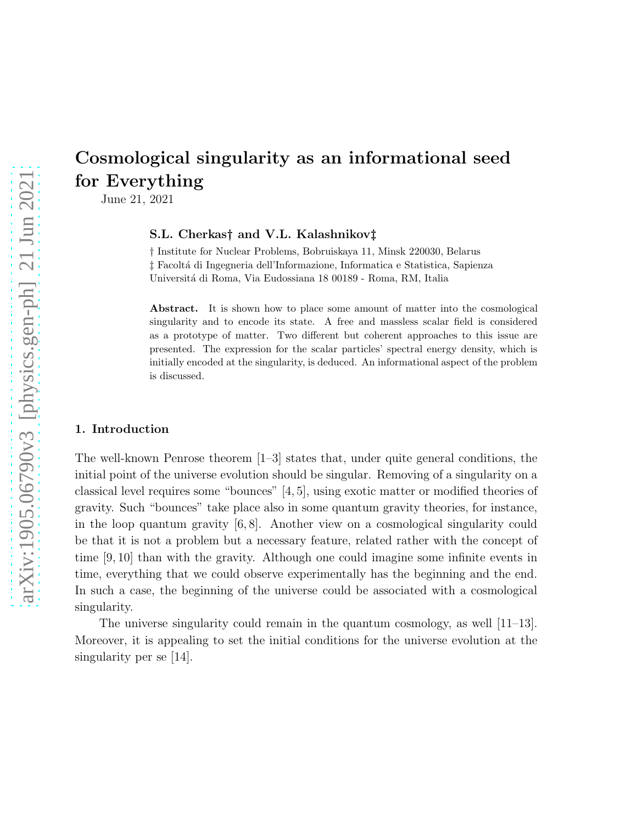June 21, 2021

#### S.L. Cherkas† and V.L. Kalashnikov‡

† Institute for Nuclear Problems, Bobruiskaya 11, Minsk 220030, Belarus ‡ Facolt´a di Ingegneria dell'Informazione, Informatica e Statistica, Sapienza Universit´a di Roma, Via Eudossiana 18 00189 - Roma, RM, Italia

Abstract. It is shown how to place some amount of matter into the cosmological singularity and to encode its state. A free and massless scalar field is considered as a prototype of matter. Two different but coherent approaches to this issue are presented. The expression for the scalar particles' spectral energy density, which is initially encoded at the singularity, is deduced. An informational aspect of the problem is discussed.

## 1. Introduction

The well-known Penrose theorem [1–3] states that, under quite general conditions, the initial point of the universe evolution should be singular. Removing of a singularity on a classical level requires some "bounces" [4, 5], using exotic matter or modified theories of gravity. Such "bounces" take place also in some quantum gravity theories, for instance, in the loop quantum gravity [6, 8]. Another view on a cosmological singularity could be that it is not a problem but a necessary feature, related rather with the concept of time [9, 10] than with the gravity. Although one could imagine some infinite events in time, everything that we could observe experimentally has the beginning and the end. In such a case, the beginning of the universe could be associated with a cosmological singularity.

The universe singularity could remain in the quantum cosmology, as well [11–13]. Moreover, it is appealing to set the initial conditions for the universe evolution at the singularity per se [14].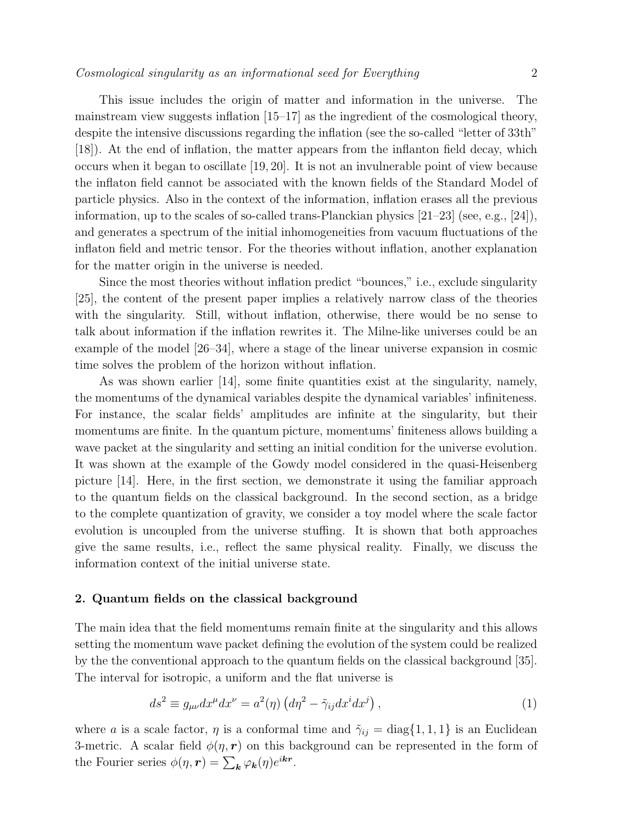This issue includes the origin of matter and information in the universe. The mainstream view suggests inflation  $[15-17]$  as the ingredient of the cosmological theory, despite the intensive discussions regarding the inflation (see the so-called "letter of 33th" [18]). At the end of inflation, the matter appears from the inflanton field decay, which occurs when it began to oscillate [19, 20]. It is not an invulnerable point of view because the inflaton field cannot be associated with the known fields of the Standard Model of particle physics. Also in the context of the information, inflation erases all the previous information, up to the scales of so-called trans-Planckian physics  $[21-23]$  (see, e.g.,  $[24]$ ), and generates a spectrum of the initial inhomogeneities from vacuum fluctuations of the inflaton field and metric tensor. For the theories without inflation, another explanation for the matter origin in the universe is needed.

Since the most theories without inflation predict "bounces," i.e., exclude singularity [25], the content of the present paper implies a relatively narrow class of the theories with the singularity. Still, without inflation, otherwise, there would be no sense to talk about information if the inflation rewrites it. The Milne-like universes could be an example of the model [26–34], where a stage of the linear universe expansion in cosmic time solves the problem of the horizon without inflation.

As was shown earlier [14], some finite quantities exist at the singularity, namely, the momentums of the dynamical variables despite the dynamical variables' infiniteness. For instance, the scalar fields' amplitudes are infinite at the singularity, but their momentums are finite. In the quantum picture, momentums' finiteness allows building a wave packet at the singularity and setting an initial condition for the universe evolution. It was shown at the example of the Gowdy model considered in the quasi-Heisenberg picture [14]. Here, in the first section, we demonstrate it using the familiar approach to the quantum fields on the classical background. In the second section, as a bridge to the complete quantization of gravity, we consider a toy model where the scale factor evolution is uncoupled from the universe stuffing. It is shown that both approaches give the same results, i.e., reflect the same physical reality. Finally, we discuss the information context of the initial universe state.

## 2. Quantum fields on the classical background

The main idea that the field momentums remain finite at the singularity and this allows setting the momentum wave packet defining the evolution of the system could be realized by the the conventional approach to the quantum fields on the classical background [35]. The interval for isotropic, a uniform and the flat universe is

$$
ds^{2} \equiv g_{\mu\nu}dx^{\mu}dx^{\nu} = a^{2}(\eta) \left(d\eta^{2} - \tilde{\gamma}_{ij}dx^{i}dx^{j}\right),\tag{1}
$$

where a is a scale factor,  $\eta$  is a conformal time and  $\tilde{\gamma}_{ij} = \text{diag}\{1, 1, 1\}$  is an Euclidean 3-metric. A scalar field  $\phi(\eta, r)$  on this background can be represented in the form of the Fourier series  $\phi(\eta, r) = \sum_{\mathbf{k}} \varphi_{\mathbf{k}}(\eta) e^{i\mathbf{k}r}$ .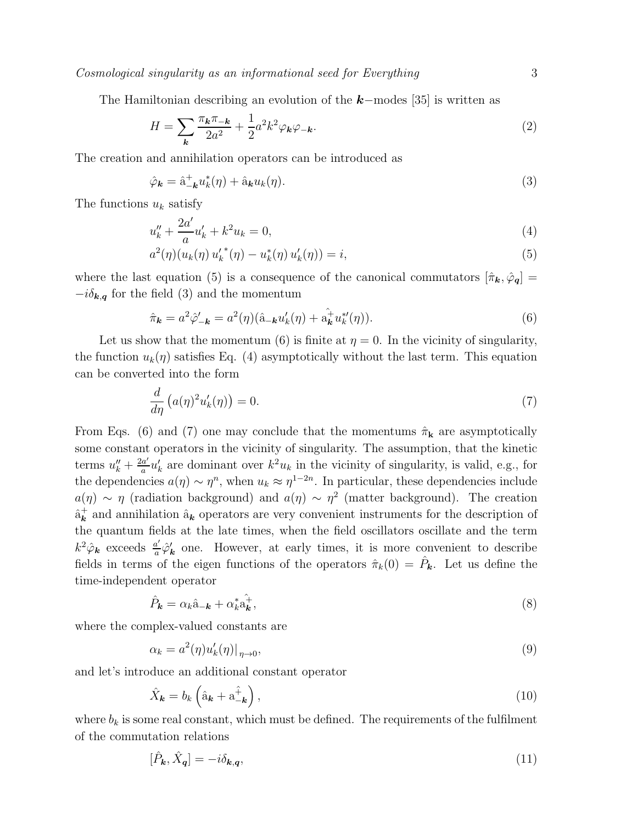The Hamiltonian describing an evolution of the  $k$ −modes [35] is written as

$$
H = \sum_{\mathbf{k}} \frac{\pi_{\mathbf{k}} \pi_{-\mathbf{k}}}{2a^2} + \frac{1}{2} a^2 k^2 \varphi_{\mathbf{k}} \varphi_{-\mathbf{k}}.\tag{2}
$$

The creation and annihilation operators can be introduced as

$$
\hat{\varphi}_{\mathbf{k}} = \hat{a}_{-\mathbf{k}}^{\dagger} u_{k}^{*}(\eta) + \hat{a}_{\mathbf{k}} u_{k}(\eta). \tag{3}
$$

The functions  $u_k$  satisfy

$$
u_k'' + \frac{2a'}{a}u_k' + k^2 u_k = 0,\t\t(4)
$$

$$
a^{2}(\eta)(u_{k}(\eta) u'_{k}^{*}(\eta) - u_{k}^{*}(\eta) u'_{k}(\eta)) = i,
$$
\n(5)

where the last equation (5) is a consequence of the canonical commutators  $[\hat{\pi}_{\mathbf{k}}, \hat{\varphi}_{\mathbf{q}}] =$  $-i\delta_{\mathbf{k},\mathbf{q}}$  for the field (3) and the momentum

$$
\hat{\pi}_{\mathbf{k}} = a^2 \hat{\varphi}'_{-\mathbf{k}} = a^2(\eta)(\hat{\mathbf{a}}_{-\mathbf{k}} u'_{\mathbf{k}}(\eta) + \hat{\mathbf{a}}_{\mathbf{k}}^{\dagger} u^{*}_{\mathbf{k}}(\eta)).
$$
\n(6)

Let us show that the momentum (6) is finite at  $\eta = 0$ . In the vicinity of singularity, the function  $u_k(\eta)$  satisfies Eq. (4) asymptotically without the last term. This equation can be converted into the form

$$
\frac{d}{d\eta} \left( a(\eta)^2 u'_k(\eta) \right) = 0. \tag{7}
$$

From Eqs. (6) and (7) one may conclude that the momentums  $\hat{\pi}_{\mathbf{k}}$  are asymptotically some constant operators in the vicinity of singularity. The assumption, that the kinetic terms  $u''_k + \frac{2a'}{a}$  $rac{a'}{a}u'_{\ell}$  $k$  are dominant over  $k^2 u_k$  in the vicinity of singularity, is valid, e.g., for the dependencies  $a(\eta) \sim \eta^n$ , when  $u_k \approx \eta^{1-2n}$ . In particular, these dependencies include  $a(\eta) \sim \eta$  (radiation background) and  $a(\eta) \sim \eta^2$  (matter background). The creation  $\hat{\mathrm{a}}_{\boldsymbol{k}}^{+}$  $\mathbf{k}$  and annihilation  $\hat{\mathbf{a}}_{\mathbf{k}}$  operators are very convenient instruments for the description of the quantum fields at the late times, when the field oscillators oscillate and the term  $k^2 \hat{\varphi}_k$  exceeds  $\frac{a'}{a}$  $\frac{a'}{a}\hat{\varphi}'$  $\mathbf{k}'$  one. However, at early times, it is more convenient to describe fields in terms of the eigen functions of the operators  $\hat{\pi}_k(0) = \hat{P}_k$ . Let us define the time-independent operator

$$
\hat{P}_{\mathbf{k}} = \alpha_k \hat{\mathbf{a}}_{-\mathbf{k}} + \alpha_k^* \hat{\mathbf{a}}_{\mathbf{k}}^+, \tag{8}
$$

where the complex-valued constants are

$$
\alpha_k = a^2(\eta)u'_k(\eta)|_{\eta \to 0},\tag{9}
$$

and let's introduce an additional constant operator

$$
\hat{X}_{\mathbf{k}} = b_{k} \left( \hat{\mathbf{a}}_{\mathbf{k}} + \mathbf{a}_{-\mathbf{k}}^{\hat{+}} \right), \tag{10}
$$

where  $b_k$  is some real constant, which must be defined. The requirements of the fulfilment of the commutation relations

$$
[\hat{P}_{\mathbf{k}}, \hat{X}_{\mathbf{q}}] = -i\delta_{\mathbf{k}, \mathbf{q}},\tag{11}
$$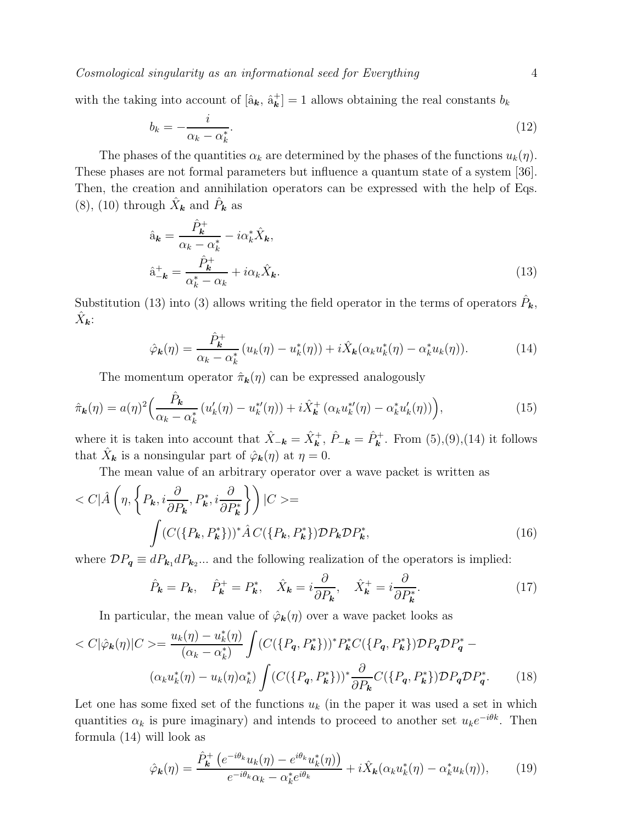with the taking into account of  $[\hat{a}_{\mathbf{k}}, \hat{a}_{\mathbf{k}}^+]$  $\mathbf{k}^{\dagger}$  = 1 allows obtaining the real constants  $b_k$ 

$$
b_k = -\frac{i}{\alpha_k - \alpha_k^*}.\tag{12}
$$

The phases of the quantities  $\alpha_k$  are determined by the phases of the functions  $u_k(\eta)$ . These phases are not formal parameters but influence a quantum state of a system [36]. Then, the creation and annihilation operators can be expressed with the help of Eqs. (8), (10) through  $\hat{X}_{\mathbf{k}}$  and  $\hat{P}_{\mathbf{k}}$  as

$$
\hat{a}_{\mathbf{k}} = \frac{\hat{P}_{\mathbf{k}}^{+}}{\alpha_{\mathbf{k}} - \alpha_{\mathbf{k}}^{*}} - i\alpha_{\mathbf{k}}^{*}\hat{X}_{\mathbf{k}},
$$
\n
$$
\hat{a}_{-\mathbf{k}}^{+} = \frac{\hat{P}_{\mathbf{k}}^{+}}{\alpha_{\mathbf{k}}^{*} - \alpha_{\mathbf{k}}} + i\alpha_{\mathbf{k}}\hat{X}_{\mathbf{k}}.
$$
\n(13)

Substitution (13) into (3) allows writing the field operator in the terms of operators  $\hat{P}_{\mathbf{k}}$ ,  $\hat{X}_{\bm{k}}$ :

$$
\hat{\varphi}_{\mathbf{k}}(\eta) = \frac{\hat{P}_{\mathbf{k}}^{+}}{\alpha_{k} - \alpha_{k}^{*}} \left( u_{k}(\eta) - u_{k}^{*}(\eta) \right) + i\hat{X}_{\mathbf{k}}(\alpha_{k} u_{k}^{*}(\eta) - \alpha_{k}^{*} u_{k}(\eta)). \tag{14}
$$

The momentum operator  $\hat{\pi}_{k}(\eta)$  can be expressed analogously

$$
\hat{\pi}_{\mathbf{k}}(\eta) = a(\eta)^2 \Big( \frac{\hat{P}_{\mathbf{k}}}{\alpha_k - \alpha_k^*} \left( u'_k(\eta) - u_k^{*'}(\eta) \right) + i \hat{X}_{\mathbf{k}}^+ \left( \alpha_k u_k^{*'}(\eta) - \alpha_k^* u'_k(\eta) \right) \Big), \tag{15}
$$

where it is taken into account that  $\hat{X}_{-\mathbf{k}} = \hat{X}_{\mathbf{k}}^{+}$ ,  $\hat{P}_{-\mathbf{k}} = \hat{P}_{\mathbf{k}}^{+}$ . From (5),(9),(14) it follows that  $\hat{X}_{\boldsymbol{k}}$  is a nonsingular part of  $\hat{\varphi}_{\boldsymbol{k}}(\eta)$  at  $\eta = 0$ .

The mean value of an arbitrary operator over a wave packet is written as

$$
\langle C|\hat{A}\left(\eta, \left\{P_{\mathbf{k}}, i\frac{\partial}{\partial P_{\mathbf{k}}}, P_{\mathbf{k}}^{*}, i\frac{\partial}{\partial P_{\mathbf{k}}^{*}}\right\}\right)|C\rangle = \int (C(\{P_{\mathbf{k}}, P_{\mathbf{k}}^{*}) )^{*}\hat{A} C(\{P_{\mathbf{k}}, P_{\mathbf{k}}^{*}\}) \mathcal{D}P_{\mathbf{k}} \mathcal{D}P_{\mathbf{k}}^{*},
$$
\n(16)

where  $\mathcal{D}P_{q} \equiv dP_{k_1}dP_{k_2}...$  and the following realization of the operators is implied:

$$
\hat{P}_{\mathbf{k}} = P_{\mathbf{k}}, \quad \hat{P}_{\mathbf{k}}^{+} = P_{\mathbf{k}}^{*}, \quad \hat{X}_{\mathbf{k}} = i \frac{\partial}{\partial P_{\mathbf{k}}}, \quad \hat{X}_{\mathbf{k}}^{+} = i \frac{\partial}{\partial P_{\mathbf{k}}^{*}}.
$$
\n(17)

In particular, the mean value of  $\hat{\varphi}_{\mathbf{k}}(\eta)$  over a wave packet looks as

$$
\langle C|\hat{\varphi}_{\mathbf{k}}(\eta)|C\rangle = \frac{u_{k}(\eta) - u_{k}^{*}(\eta)}{(\alpha_{k} - \alpha_{k}^{*})} \int (C(\{P_{q}, P_{k}^{*}\}))^{*} P_{\mathbf{k}}^{*} C(\{P_{q}, P_{\mathbf{k}}^{*}\}) \mathcal{D} P_{q} \mathcal{D} P_{q}^{*} - (\alpha_{k} u_{k}^{*}(\eta) - u_{k}(\eta) \alpha_{k}^{*}) \int (C(\{P_{q}, P_{\mathbf{k}}^{*}\}))^{*} \frac{\partial}{\partial P_{\mathbf{k}}} C(\{P_{q}, P_{\mathbf{k}}^{*}\}) \mathcal{D} P_{q} \mathcal{D} P_{q}^{*}.
$$
 (18)

Let one has some fixed set of the functions  $u_k$  (in the paper it was used a set in which quantities  $\alpha_k$  is pure imaginary) and intends to proceed to another set  $u_k e^{-i\theta k}$ . Then formula (14) will look as

$$
\hat{\varphi}_{\mathbf{k}}(\eta) = \frac{\hat{P}_{\mathbf{k}}^{+} \left( e^{-i\theta_{k}} u_{k}(\eta) - e^{i\theta_{k}} u_{k}^{*}(\eta) \right)}{e^{-i\theta_{k}} \alpha_{k} - \alpha_{k}^{*} e^{i\theta_{k}}} + i\hat{X}_{\mathbf{k}} (\alpha_{k} u_{k}^{*}(\eta) - \alpha_{k}^{*} u_{k}(\eta)), \tag{19}
$$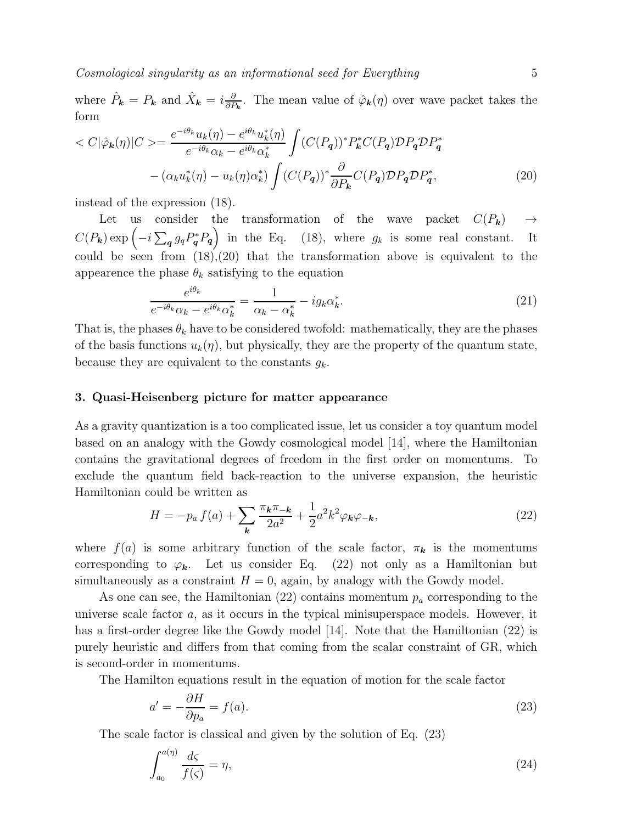where  $\hat{P}_{\mathbf{k}} = P_{\mathbf{k}}$  and  $\hat{X}_{\mathbf{k}} = i \frac{\partial}{\partial P}$  $\frac{\partial}{\partial P_{k}}$ . The mean value of  $\hat{\varphi}_{k}(\eta)$  over wave packet takes the form

$$
\langle C|\hat{\varphi}_{\mathbf{k}}(\eta)|C\rangle = \frac{e^{-i\theta_k}u_k(\eta) - e^{i\theta_k}u_k^*(\eta)}{e^{-i\theta_k}\alpha_k - e^{i\theta_k}\alpha_k^*} \int (C(P_q))^* P_{\mathbf{k}}^* C(P_q) \mathcal{D}P_q \mathcal{D}P_q^* - (\alpha_k u_k^*(\eta) - u_k(\eta)\alpha_k^*) \int (C(P_q))^* \frac{\partial}{\partial P_{\mathbf{k}}} C(P_q) \mathcal{D}P_q \mathcal{D}P_q^*,
$$
\n(20)

instead of the expression (18).

Let us consider the transformation of the wave packet  $C(P_k) \rightarrow$  $C(P_k) \exp\left(-i\sum_{\boldsymbol{q}}g_{\boldsymbol{q}}P_{\boldsymbol{q}}^*P_{\boldsymbol{q}}\right)$  in the Eq. (18), where  $g_k$  is some real constant. It could be seen from  $(18)$ , $(20)$  that the transformation above is equivalent to the appearence the phase  $\theta_k$  satisfying to the equation

$$
\frac{e^{i\theta_k}}{e^{-i\theta_k}\alpha_k - e^{i\theta_k}\alpha_k^*} = \frac{1}{\alpha_k - \alpha_k^*} - ig_k \alpha_k^*.
$$
\n(21)

That is, the phases  $\theta_k$  have to be considered twofold: mathematically, they are the phases of the basis functions  $u_k(\eta)$ , but physically, they are the property of the quantum state, because they are equivalent to the constants  $g_k$ .

#### 3. Quasi-Heisenberg picture for matter appearance

As a gravity quantization is a too complicated issue, let us consider a toy quantum model based on an analogy with the Gowdy cosmological model [14], where the Hamiltonian contains the gravitational degrees of freedom in the first order on momentums. To exclude the quantum field back-reaction to the universe expansion, the heuristic Hamiltonian could be written as

$$
H = -p_a f(a) + \sum_{\mathbf{k}} \frac{\pi_{\mathbf{k}} \pi_{-\mathbf{k}}}{2a^2} + \frac{1}{2} a^2 k^2 \varphi_{\mathbf{k}} \varphi_{-\mathbf{k}},\tag{22}
$$

where  $f(a)$  is some arbitrary function of the scale factor,  $\pi_k$  is the momentums corresponding to  $\varphi_k$ . Let us consider Eq. (22) not only as a Hamiltonian but simultaneously as a constraint  $H = 0$ , again, by analogy with the Gowdy model.

As one can see, the Hamiltonian (22) contains momentum  $p_a$  corresponding to the universe scale factor a, as it occurs in the typical minisuperspace models. However, it has a first-order degree like the Gowdy model [14]. Note that the Hamiltonian (22) is purely heuristic and differs from that coming from the scalar constraint of GR, which is second-order in momentums.

The Hamilton equations result in the equation of motion for the scale factor

$$
a' = -\frac{\partial H}{\partial p_a} = f(a). \tag{23}
$$

The scale factor is classical and given by the solution of Eq. (23)

$$
\int_{a_0}^{a(\eta)} \frac{d\zeta}{f(\zeta)} = \eta,\tag{24}
$$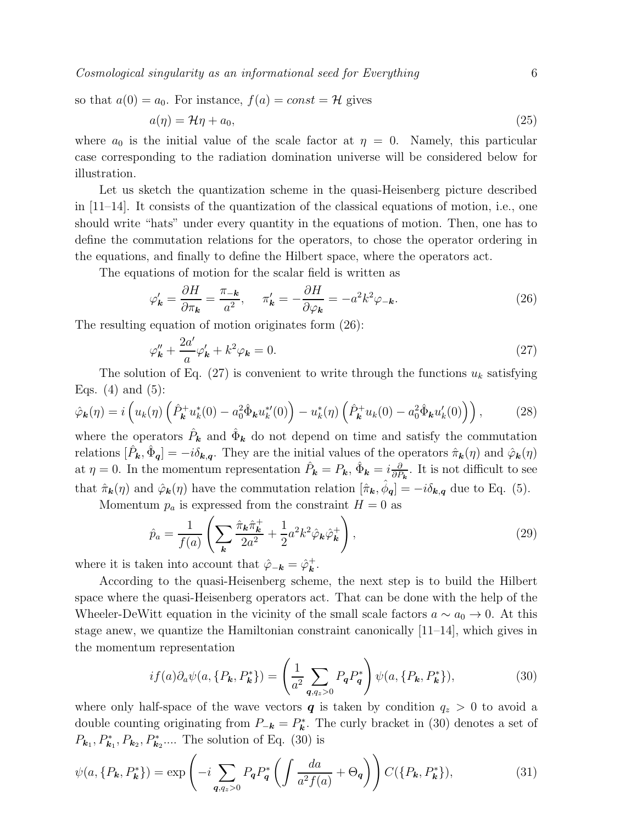so that 
$$
a(0) = a_0
$$
. For instance,  $f(a) = const = H$  gives

$$
a(\eta) = \mathcal{H}\eta + a_0,\tag{25}
$$

where  $a_0$  is the initial value of the scale factor at  $\eta = 0$ . Namely, this particular case corresponding to the radiation domination universe will be considered below for illustration.

Let us sketch the quantization scheme in the quasi-Heisenberg picture described in  $[11-14]$ . It consists of the quantization of the classical equations of motion, i.e., one should write "hats" under every quantity in the equations of motion. Then, one has to define the commutation relations for the operators, to chose the operator ordering in the equations, and finally to define the Hilbert space, where the operators act.

The equations of motion for the scalar field is written as

$$
\varphi'_{\mathbf{k}} = \frac{\partial H}{\partial \pi_{\mathbf{k}}} = \frac{\pi_{-\mathbf{k}}}{a^2}, \qquad \pi'_{\mathbf{k}} = -\frac{\partial H}{\partial \varphi_{\mathbf{k}}} = -a^2 k^2 \varphi_{-\mathbf{k}}.
$$
\n(26)

The resulting equation of motion originates form (26):

$$
\varphi_{\mathbf{k}}'' + \frac{2a'}{a}\varphi_{\mathbf{k}}' + k^2\varphi_{\mathbf{k}} = 0.
$$
\n(27)

The solution of Eq. (27) is convenient to write through the functions  $u_k$  satisfying Eqs.  $(4)$  and  $(5)$ :

$$
\hat{\varphi}_{\mathbf{k}}(\eta) = i \left( u_k(\eta) \left( \hat{P}_{\mathbf{k}}^+ u_k^*(0) - a_0^2 \hat{\Phi}_{\mathbf{k}} u_k^{*\prime}(0) \right) - u_k^*(\eta) \left( \hat{P}_{\mathbf{k}}^+ u_k(0) - a_0^2 \hat{\Phi}_{\mathbf{k}} u_k'(0) \right) \right), \tag{28}
$$

where the operators  $\hat{P}_k$  and  $\hat{\Phi}_k$  do not depend on time and satisfy the commutation relations  $[\hat{P}_{\mathbf{k}}, \hat{\Phi}_{\mathbf{q}}] = -i\delta_{\mathbf{k},\mathbf{q}}$ . They are the initial values of the operators  $\hat{\pi}_{\mathbf{k}}(\eta)$  and  $\hat{\varphi}_{\mathbf{k}}(\eta)$ at  $\eta = 0$ . In the momentum representation  $\hat{P}_{\mathbf{k}} = P_{\mathbf{k}}, \hat{\Phi}_{\mathbf{k}} = i \frac{\partial}{\partial P}$  $\frac{\partial}{\partial P_k}$ . It is not difficult to see that  $\hat{\pi}_{\mathbf{k}}(\eta)$  and  $\hat{\varphi}_{\mathbf{k}}(\eta)$  have the commutation relation  $[\hat{\pi}_{\mathbf{k}}, \hat{\phi}_{\mathbf{q}}] = -i\delta_{\mathbf{k},\mathbf{q}}$  due to Eq. (5).

Momentum  $p_a$  is expressed from the constraint  $H = 0$  as

$$
\hat{p}_a = \frac{1}{f(a)} \left( \sum_{\mathbf{k}} \frac{\hat{\pi}_{\mathbf{k}} \hat{\pi}_{\mathbf{k}}^+}{2a^2} + \frac{1}{2} a^2 k^2 \hat{\varphi}_{\mathbf{k}} \hat{\varphi}_{\mathbf{k}}^+ \right),\tag{29}
$$

where it is taken into account that  $\hat{\varphi}_{-\mathbf{k}} = \hat{\varphi}_{\mathbf{k}}^{+}$  $\frac{k}{k}$  .

According to the quasi-Heisenberg scheme, the next step is to build the Hilbert space where the quasi-Heisenberg operators act. That can be done with the help of the Wheeler-DeWitt equation in the vicinity of the small scale factors  $a \sim a_0 \to 0$ . At this stage anew, we quantize the Hamiltonian constraint canonically [11–14], which gives in the momentum representation

$$
if(a)\partial_a\psi(a,\{P_k,P_k^*\}) = \left(\frac{1}{a^2} \sum_{q,q_z>0} P_q P_q^*\right) \psi(a,\{P_k,P_k^*\}),\tag{30}
$$

where only half-space of the wave vectors  $q$  is taken by condition  $q_z > 0$  to avoid a double counting originating from  $P_{-\mathbf{k}} = P_{\mathbf{k}}^*$  $\mathbf{k}^*$ . The curly bracket in (30) denotes a set of  $P_{\mathbf{k}_1}, P_{\mathbf{k}_1}, P_{\mathbf{k}_2}, P_{\mathbf{k}_2}^*....$  The solution of Eq. (30) is

$$
\psi(a, \{P_k, P_k^*\}) = \exp\left(-i \sum_{q, q_z > 0} P_q P_q^* \left( \int \frac{da}{a^2 f(a)} + \Theta_q \right) \right) C(\{P_k, P_k^*\}),\tag{31}
$$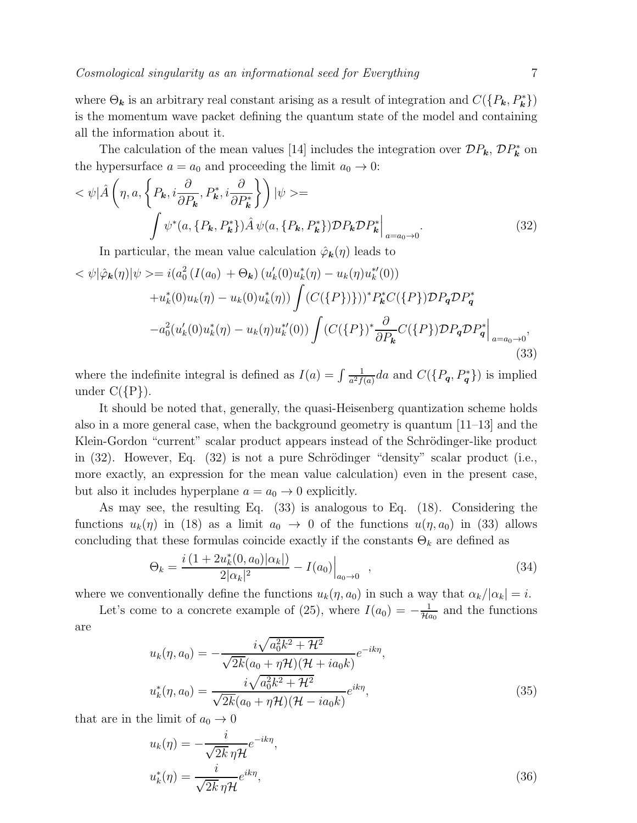where  $\Theta_{\bf k}$  is an arbitrary real constant arising as a result of integration and  $C({P_{\bf k}, P_{\bf k}^*})$ is the momentum wave packet defining the quantum state of the model and containing all the information about it.

The calculation of the mean values [14] includes the integration over  $\mathcal{D}P_{\mathbf{k}}$ ,  $\mathcal{D}P_{\mathbf{k}}^{*}$  $k^*$  on the hypersurface  $a = a_0$  and proceeding the limit  $a_0 \to 0$ :

$$
\langle \psi | \hat{A} \left( \eta, a, \left\{ P_{\mathbf{k}}, i \frac{\partial}{\partial P_{\mathbf{k}}}, P_{\mathbf{k}}^*, i \frac{\partial}{\partial P_{\mathbf{k}}^*} \right\} \right) | \psi \rangle =
$$

$$
\int \psi^*(a, \{P_{\mathbf{k}}, P_{\mathbf{k}}^*\}) \hat{A} \psi(a, \{P_{\mathbf{k}}, P_{\mathbf{k}}^*\}) \mathcal{D} P_{\mathbf{k}} \mathcal{D} P_{\mathbf{k}}^* \Big|_{a = a_0 \to 0}.
$$
 (32)

In particular, the mean value calculation  $\hat{\varphi}_{\mathbf{k}}(\eta)$  leads to

$$
\langle \psi | \hat{\varphi}_{\mathbf{k}}(\eta) | \psi \rangle = i(a_0^2 \left( I(a_0) + \Theta_{\mathbf{k}} \right) \left( u'_k(0) u^*_{k}(\eta) - u_k(\eta) u^{*'}_{k}(0) \right) \n+ u^*_{k}(0) u_k(\eta) - u_k(0) u^*_{k}(\eta) \right) \int \left( C(\{P\}) \right)^* P^*_{\mathbf{k}} C(\{P\}) \mathcal{D} P_{\mathbf{q}} \mathcal{D} P^*_{\mathbf{q}} \n- a_0^2 (u'_k(0) u^*_{k}(\eta) - u_k(\eta) u^{*'}_{k}(0)) \int \left( C(\{P\})^* \frac{\partial}{\partial P_{\mathbf{k}}} C(\{P\}) \mathcal{D} P_{\mathbf{q}} \mathcal{D} P^*_{\mathbf{q}} \right|_{a = a_0 \to 0},
$$
\n(33)

where the indefinite integral is defined as  $I(a) = \int \frac{1}{a^2 f}$  $\frac{1}{a^2f(a)}da$  and  $C(\lbrace P_{\boldsymbol{q}}, P_{\boldsymbol{q}}^* \rbrace)$  is implied under  $C({P}).$ 

It should be noted that, generally, the quasi-Heisenberg quantization scheme holds also in a more general case, when the background geometry is quantum [11–13] and the Klein-Gordon "current" scalar product appears instead of the Schrödinger-like product in  $(32)$ . However, Eq.  $(32)$  is not a pure Schrödinger "density" scalar product (i.e., more exactly, an expression for the mean value calculation) even in the present case, but also it includes hyperplane  $a = a_0 \rightarrow 0$  explicitly.

As may see, the resulting Eq. (33) is analogous to Eq. (18). Considering the functions  $u_k(\eta)$  in (18) as a limit  $a_0 \to 0$  of the functions  $u(\eta, a_0)$  in (33) allows concluding that these formulas coincide exactly if the constants  $\Theta_k$  are defined as

$$
\Theta_k = \frac{i\left(1 + 2u_k^*(0, a_0)|\alpha_k|\right)}{2|\alpha_k|^2} - I(a_0)\Big|_{a_0 \to 0} \quad , \tag{34}
$$

where we conventionally define the functions  $u_k(\eta, a_0)$  in such a way that  $\alpha_k/|\alpha_k| = i$ .

Let's come to a concrete example of (25), where  $I(a_0) = -\frac{1}{\mathcal{H}a_0}$  and the functions are

$$
u_k(\eta, a_0) = -\frac{i\sqrt{a_0^2 k^2 + \mathcal{H}^2}}{\sqrt{2k}(a_0 + \eta \mathcal{H})(\mathcal{H} + ia_0 k)} e^{-ik\eta},
$$
  

$$
u_k^*(\eta, a_0) = \frac{i\sqrt{a_0^2 k^2 + \mathcal{H}^2}}{\sqrt{2k}(a_0 + \eta \mathcal{H})(\mathcal{H} - ia_0 k)} e^{ik\eta},
$$
(35)

that are in the limit of  $a_0 \to 0$ 

$$
u_k(\eta) = -\frac{i}{\sqrt{2k}\,\eta\mathcal{H}}e^{-ik\eta},
$$
  

$$
u_k^*(\eta) = \frac{i}{\sqrt{2k}\,\eta\mathcal{H}}e^{ik\eta},
$$
\n(36)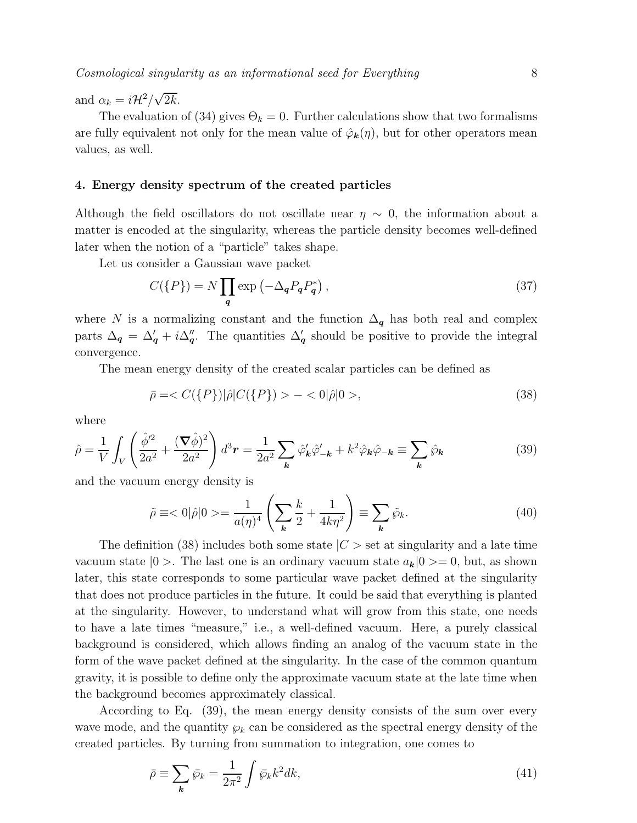and  $\alpha_k = i\mathcal{H}^2/\sqrt{2k}$ .

The evaluation of (34) gives  $\Theta_k = 0$ . Further calculations show that two formalisms are fully equivalent not only for the mean value of  $\hat{\varphi}_{\mathbf{k}}(\eta)$ , but for other operators mean values, as well.

## 4. Energy density spectrum of the created particles

Although the field oscillators do not oscillate near  $\eta \sim 0$ , the information about a matter is encoded at the singularity, whereas the particle density becomes well-defined later when the notion of a "particle" takes shape.

Let us consider a Gaussian wave packet

$$
C(\{P\}) = N \prod_{q} \exp\left(-\Delta_q P_q P_q^*\right),\tag{37}
$$

where N is a normalizing constant and the function  $\Delta_q$  has both real and complex parts  $\Delta_q = \Delta'_q + i\Delta''_q$ . The quantities  $\Delta'_q$  should be positive to provide the integral convergence.

The mean energy density of the created scalar particles can be defined as

$$
\bar{\rho} = \langle C({P}\rangle)|\hat{\rho}|C({P}\rangle) > - \langle 0|\hat{\rho}|0>, \tag{38}
$$

where

$$
\hat{\rho} = \frac{1}{V} \int_{V} \left( \frac{\hat{\phi}^2}{2a^2} + \frac{(\nabla \hat{\phi})^2}{2a^2} \right) d^3 \mathbf{r} = \frac{1}{2a^2} \sum_{\mathbf{k}} \hat{\varphi}_{\mathbf{k}}' \hat{\varphi}_{-\mathbf{k}}' + k^2 \hat{\varphi}_{\mathbf{k}} \hat{\varphi}_{-\mathbf{k}} \equiv \sum_{\mathbf{k}} \hat{\varphi}_{\mathbf{k}} \tag{39}
$$

and the vacuum energy density is

$$
\tilde{\rho} \equiv \langle 0|\hat{\rho}|0 \rangle = \frac{1}{a(\eta)^4} \left(\sum_{\mathbf{k}} \frac{k}{2} + \frac{1}{4k\eta^2}\right) \equiv \sum_{\mathbf{k}} \tilde{\wp}_{k}.\tag{40}
$$

The definition (38) includes both some state  $|C|$  set at singularity and a late time vacuum state  $|0\rangle$ . The last one is an ordinary vacuum state  $a_k|0\rangle = 0$ , but, as shown later, this state corresponds to some particular wave packet defined at the singularity that does not produce particles in the future. It could be said that everything is planted at the singularity. However, to understand what will grow from this state, one needs to have a late times "measure," i.e., a well-defined vacuum. Here, a purely classical background is considered, which allows finding an analog of the vacuum state in the form of the wave packet defined at the singularity. In the case of the common quantum gravity, it is possible to define only the approximate vacuum state at the late time when the background becomes approximately classical.

According to Eq. (39), the mean energy density consists of the sum over every wave mode, and the quantity  $\wp_k$  can be considered as the spectral energy density of the created particles. By turning from summation to integration, one comes to

$$
\bar{\rho} \equiv \sum_{k} \bar{\wp}_{k} = \frac{1}{2\pi^{2}} \int \bar{\wp}_{k} k^{2} dk,
$$
\n(41)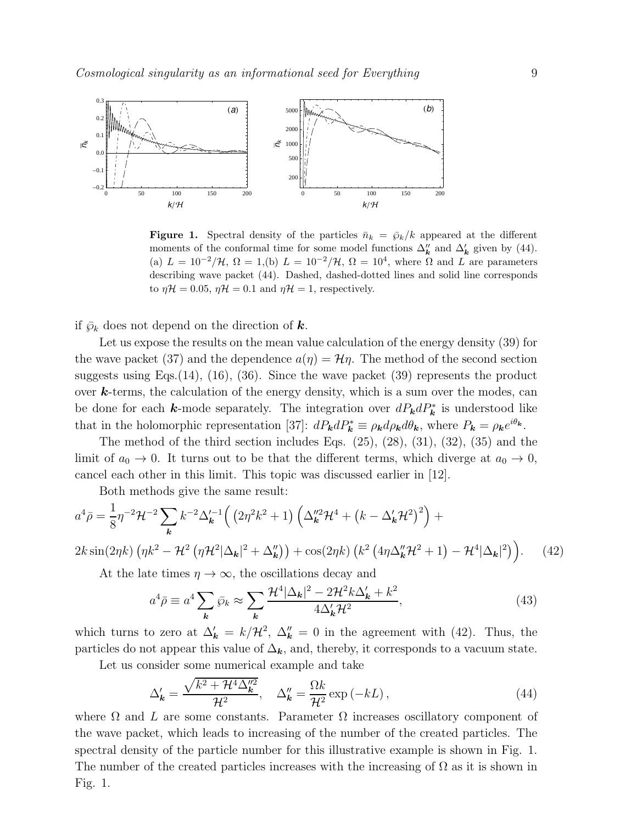

**Figure 1.** Spectral density of the particles  $\bar{n}_k = \bar{\wp}_k/k$  appeared at the different moments of the conformal time for some model functions  $\Delta''_k$  and  $\Delta'_k$  given by (44). (a)  $L = 10^{-2}/\mathcal{H}, \Omega = 1,$  (b)  $L = 10^{-2}/\mathcal{H}, \Omega = 10^{4}$ , where  $\Omega$  and  $L$  are parameters describing wave packet (44). Dashed, dashed-dotted lines and solid line corresponds to  $\eta \mathcal{H} = 0.05$ ,  $\eta \mathcal{H} = 0.1$  and  $\eta \mathcal{H} = 1$ , respectively.

if  $\bar{\varphi}_k$  does not depend on the direction of **k**.

Let us expose the results on the mean value calculation of the energy density (39) for the wave packet (37) and the dependence  $a(\eta) = \mathcal{H}\eta$ . The method of the second section suggests using Eqs. $(14)$ ,  $(16)$ ,  $(36)$ . Since the wave packet  $(39)$  represents the product over  $k$ -terms, the calculation of the energy density, which is a sum over the modes, can be done for each k-mode separately. The integration over  $dP_{\mathbf{k}}dP_{\mathbf{k}}^*$  is understood like that in the holomorphic representation [37]:  $dP_{\mathbf{k}}dP_{\mathbf{k}}^* \equiv \rho_{\mathbf{k}}d\rho_{\mathbf{k}}d\theta_{\mathbf{k}}$ , where  $P_{\mathbf{k}} = \rho_{\mathbf{k}}e^{i\theta_{\mathbf{k}}}$ .

The method of the third section includes Eqs.  $(25)$ ,  $(28)$ ,  $(31)$ ,  $(32)$ ,  $(35)$  and the limit of  $a_0 \to 0$ . It turns out to be that the different terms, which diverge at  $a_0 \to 0$ , cancel each other in this limit. This topic was discussed earlier in [12].

Both methods give the same result:

$$
a^{4}\bar{\rho} = \frac{1}{8}\eta^{-2}\mathcal{H}^{-2}\sum_{\mathbf{k}}k^{-2}\Delta_{\mathbf{k}}'^{-1}\Big(\left(2\eta^{2}k^{2}+1\right)\left(\Delta_{\mathbf{k}}''^{2}\mathcal{H}^{4}+\left(k-\Delta_{\mathbf{k}}'\mathcal{H}^{2}\right)^{2}\right)+2k\sin(2\eta k)\left(\eta k^{2}-\mathcal{H}^{2}\left(\eta\mathcal{H}^{2}|\Delta_{\mathbf{k}}|^{2}+\Delta_{\mathbf{k}}''\right)\right)+\cos(2\eta k)\left(k^{2}\left(4\eta\Delta_{\mathbf{k}}''\mathcal{H}^{2}+1\right)-\mathcal{H}^{4}|\Delta_{\mathbf{k}}|^{2}\right)\Big). \tag{42}
$$

At the late times  $\eta \to \infty$ , the oscillations decay and

$$
a^4 \bar{\rho} \equiv a^4 \sum_{\mathbf{k}} \bar{\wp}_k \approx \sum_{\mathbf{k}} \frac{\mathcal{H}^4 |\Delta_{\mathbf{k}}|^2 - 2\mathcal{H}^2 k \Delta_{\mathbf{k}}' + k^2}{4\Delta_{\mathbf{k}}' \mathcal{H}^2},\tag{43}
$$

which turns to zero at  $\Delta'_{\mathbf{k}} = k/\mathcal{H}^2$ ,  $\Delta''_{\mathbf{k}} = 0$  in the agreement with (42). Thus, the particles do not appear this value of  $\Delta_k$ , and, thereby, it corresponds to a vacuum state.

Let us consider some numerical example and take

$$
\Delta_{\mathbf{k}}' = \frac{\sqrt{k^2 + \mathcal{H}^4 \Delta_{\mathbf{k}}''^2}}{\mathcal{H}^2}, \quad \Delta_{\mathbf{k}}'' = \frac{\Omega k}{\mathcal{H}^2} \exp\left(-kL\right),\tag{44}
$$

where  $\Omega$  and  $L$  are some constants. Parameter  $\Omega$  increases oscillatory component of the wave packet, which leads to increasing of the number of the created particles. The spectral density of the particle number for this illustrative example is shown in Fig. 1. The number of the created particles increases with the increasing of  $\Omega$  as it is shown in Fig. 1.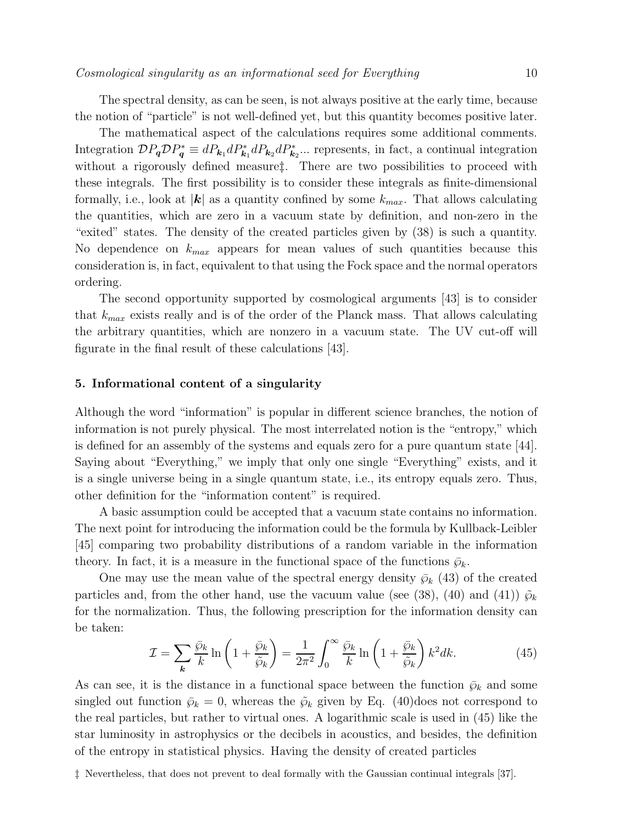The spectral density, as can be seen, is not always positive at the early time, because the notion of "particle" is not well-defined yet, but this quantity becomes positive later.

The mathematical aspect of the calculations requires some additional comments. Integration  $\mathcal{D}P_q \mathcal{D}P_q^* \equiv dP_{k_1}dP_{k_1}dP_{k_2}dP_{k_2}^*...$  represents, in fact, a continual integration without a rigorously defined measure<sup>†</sup>. There are two possibilities to proceed with these integrals. The first possibility is to consider these integrals as finite-dimensional formally, i.e., look at  $|k|$  as a quantity confined by some  $k_{max}$ . That allows calculating the quantities, which are zero in a vacuum state by definition, and non-zero in the "exited" states. The density of the created particles given by (38) is such a quantity. No dependence on  $k_{max}$  appears for mean values of such quantities because this consideration is, in fact, equivalent to that using the Fock space and the normal operators ordering.

The second opportunity supported by cosmological arguments [43] is to consider that  $k_{max}$  exists really and is of the order of the Planck mass. That allows calculating the arbitrary quantities, which are nonzero in a vacuum state. The UV cut-off will figurate in the final result of these calculations [43].

# 5. Informational content of a singularity

Although the word "information" is popular in different science branches, the notion of information is not purely physical. The most interrelated notion is the "entropy," which is defined for an assembly of the systems and equals zero for a pure quantum state [44]. Saying about "Everything," we imply that only one single "Everything" exists, and it is a single universe being in a single quantum state, i.e., its entropy equals zero. Thus, other definition for the "information content" is required.

A basic assumption could be accepted that a vacuum state contains no information. The next point for introducing the information could be the formula by Kullback-Leibler [45] comparing two probability distributions of a random variable in the information theory. In fact, it is a measure in the functional space of the functions  $\bar{\varphi}_k$ .

One may use the mean value of the spectral energy density  $\bar{\wp}_k$  (43) of the created particles and, from the other hand, use the vacuum value (see (38), (40) and (41))  $\tilde{\varphi}_k$ for the normalization. Thus, the following prescription for the information density can be taken:

$$
\mathcal{I} = \sum_{k} \frac{\bar{\wp}_k}{k} \ln \left( 1 + \frac{\bar{\wp}_k}{\tilde{\wp}_k} \right) = \frac{1}{2\pi^2} \int_0^\infty \frac{\bar{\wp}_k}{k} \ln \left( 1 + \frac{\bar{\wp}_k}{\tilde{\wp}_k} \right) k^2 dk. \tag{45}
$$

As can see, it is the distance in a functional space between the function  $\bar{\wp}_k$  and some singled out function  $\bar{\wp}_k = 0$ , whereas the  $\tilde{\wp}_k$  given by Eq. (40)does not correspond to the real particles, but rather to virtual ones. A logarithmic scale is used in (45) like the star luminosity in astrophysics or the decibels in acoustics, and besides, the definition of the entropy in statistical physics. Having the density of created particles

‡ Nevertheless, that does not prevent to deal formally with the Gaussian continual integrals [37].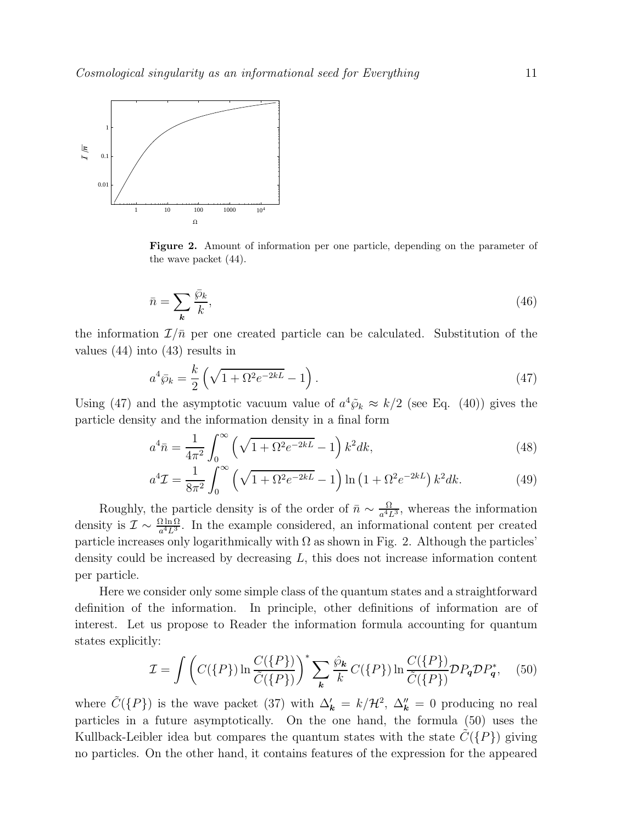

Figure 2. Amount of information per one particle, depending on the parameter of the wave packet (44).

$$
\bar{n} = \sum_{k} \frac{\bar{\wp}_{k}}{k},\tag{46}
$$

the information  $\mathcal{I}/\bar{n}$  per one created particle can be calculated. Substitution of the values (44) into (43) results in

$$
a^4 \bar{\wp}_k = \frac{k}{2} \left( \sqrt{1 + \Omega^2 e^{-2kL}} - 1 \right). \tag{47}
$$

Using (47) and the asymptotic vacuum value of  $a^4\tilde{\varphi}_k \approx k/2$  (see Eq. (40)) gives the particle density and the information density in a final form

$$
a^4 \bar{n} = \frac{1}{4\pi^2} \int_0^\infty \left(\sqrt{1 + \Omega^2 e^{-2kL}} - 1\right) k^2 dk,\tag{48}
$$

$$
a^4 \mathcal{I} = \frac{1}{8\pi^2} \int_0^\infty \left( \sqrt{1 + \Omega^2 e^{-2kL}} - 1 \right) \ln \left( 1 + \Omega^2 e^{-2kL} \right) k^2 dk. \tag{49}
$$

Roughly, the particle density is of the order of  $\bar{n} \sim \frac{\Omega}{a^4 I}$  $\frac{\Omega}{a^4 L^3}$ , whereas the information density is  $\mathcal{I} \sim \frac{\Omega \ln \Omega}{a^4 L^3}$ . In the example considered, an informational content per created particle increases only logarithmically with  $\Omega$  as shown in Fig. 2. Although the particles' density could be increased by decreasing L, this does not increase information content per particle.

Here we consider only some simple class of the quantum states and a straightforward definition of the information. In principle, other definitions of information are of interest. Let us propose to Reader the information formula accounting for quantum states explicitly:

$$
\mathcal{I} = \int \left( C(\{P\}) \ln \frac{C(\{P\})}{\tilde{C}(\{P\})} \right)^{*} \sum_{\mathbf{k}} \frac{\hat{\wp}_{\mathbf{k}}}{k} C(\{P\}) \ln \frac{C(\{P\})}{\tilde{C}(\{P\})} \mathcal{D} P_{\mathbf{q}} \mathcal{D} P_{\mathbf{q}}^{*}, \quad (50)
$$

where  $\tilde{C}(\{P\})$  is the wave packet (37) with  $\Delta'_{\bf k} = k/\mathcal{H}^2$ ,  $\Delta''_{\bf k} = 0$  producing no real particles in a future asymptotically. On the one hand, the formula (50) uses the Kullback-Leibler idea but compares the quantum states with the state  $\tilde{C}(\{P\})$  giving no particles. On the other hand, it contains features of the expression for the appeared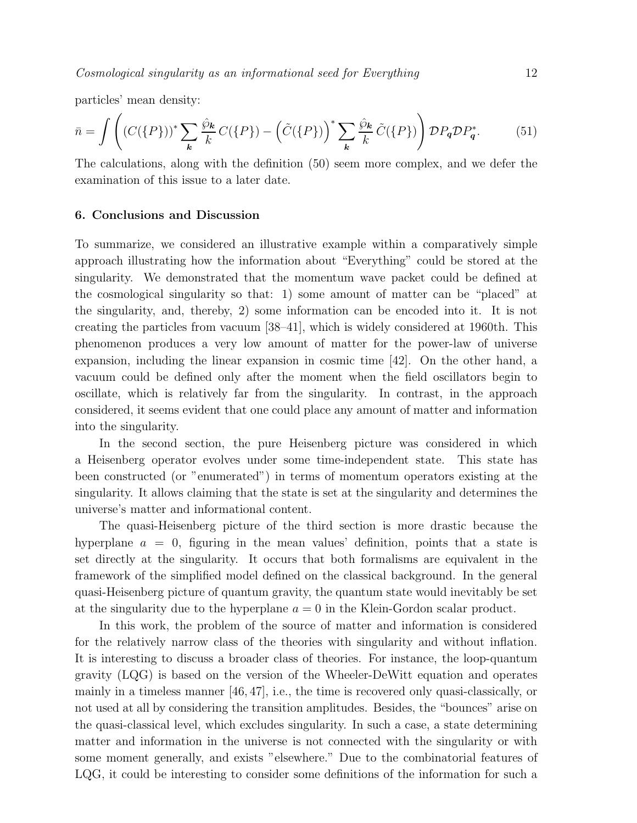particles' mean density:

$$
\bar{n} = \int \left( (C(\{P\}))^* \sum_{\mathbf{k}} \frac{\hat{\wp}_{\mathbf{k}}}{k} C(\{P\}) - \left(\tilde{C}(\{P\})\right)^* \sum_{\mathbf{k}} \frac{\hat{\wp}_{\mathbf{k}}}{k} \tilde{C}(\{P\}) \right) \mathcal{D} P_{\mathbf{q}} \mathcal{D} P_{\mathbf{q}}^*.
$$
 (51)

The calculations, along with the definition (50) seem more complex, and we defer the examination of this issue to a later date.

#### 6. Conclusions and Discussion

To summarize, we considered an illustrative example within a comparatively simple approach illustrating how the information about "Everything" could be stored at the singularity. We demonstrated that the momentum wave packet could be defined at the cosmological singularity so that: 1) some amount of matter can be "placed" at the singularity, and, thereby, 2) some information can be encoded into it. It is not creating the particles from vacuum [38–41], which is widely considered at 1960th. This phenomenon produces a very low amount of matter for the power-law of universe expansion, including the linear expansion in cosmic time [42]. On the other hand, a vacuum could be defined only after the moment when the field oscillators begin to oscillate, which is relatively far from the singularity. In contrast, in the approach considered, it seems evident that one could place any amount of matter and information into the singularity.

In the second section, the pure Heisenberg picture was considered in which a Heisenberg operator evolves under some time-independent state. This state has been constructed (or "enumerated") in terms of momentum operators existing at the singularity. It allows claiming that the state is set at the singularity and determines the universe's matter and informational content.

The quasi-Heisenberg picture of the third section is more drastic because the hyperplane  $a = 0$ , figuring in the mean values' definition, points that a state is set directly at the singularity. It occurs that both formalisms are equivalent in the framework of the simplified model defined on the classical background. In the general quasi-Heisenberg picture of quantum gravity, the quantum state would inevitably be set at the singularity due to the hyperplane  $a = 0$  in the Klein-Gordon scalar product.

In this work, the problem of the source of matter and information is considered for the relatively narrow class of the theories with singularity and without inflation. It is interesting to discuss a broader class of theories. For instance, the loop-quantum gravity (LQG) is based on the version of the Wheeler-DeWitt equation and operates mainly in a timeless manner [46, 47], i.e., the time is recovered only quasi-classically, or not used at all by considering the transition amplitudes. Besides, the "bounces" arise on the quasi-classical level, which excludes singularity. In such a case, a state determining matter and information in the universe is not connected with the singularity or with some moment generally, and exists "elsewhere." Due to the combinatorial features of LQG, it could be interesting to consider some definitions of the information for such a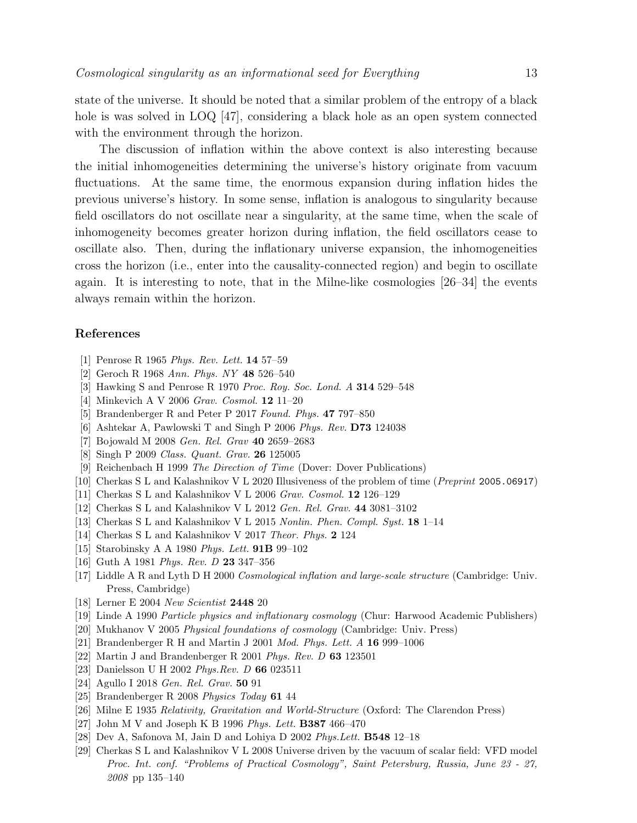state of the universe. It should be noted that a similar problem of the entropy of a black hole is was solved in LOQ [47], considering a black hole as an open system connected with the environment through the horizon.

The discussion of inflation within the above context is also interesting because the initial inhomogeneities determining the universe's history originate from vacuum fluctuations. At the same time, the enormous expansion during inflation hides the previous universe's history. In some sense, inflation is analogous to singularity because field oscillators do not oscillate near a singularity, at the same time, when the scale of inhomogeneity becomes greater horizon during inflation, the field oscillators cease to oscillate also. Then, during the inflationary universe expansion, the inhomogeneities cross the horizon (i.e., enter into the causality-connected region) and begin to oscillate again. It is interesting to note, that in the Milne-like cosmologies [26–34] the events always remain within the horizon.

# References

- [1] Penrose R 1965 *Phys. Rev. Lett.* 14 57–59
- [2] Geroch R 1968 *Ann. Phys. NY* 48 526–540
- [3] Hawking S and Penrose R 1970 *Proc. Roy. Soc. Lond. A* 314 529–548
- [4] Minkevich A V 2006 *Grav. Cosmol.* 12 11–20
- [5] Brandenberger R and Peter P 2017 *Found. Phys.* 47 797–850
- [6] Ashtekar A, Pawlowski T and Singh P 2006 *Phys. Rev.* D73 124038
- [7] Bojowald M 2008 *Gen. Rel. Grav* 40 2659–2683
- [8] Singh P 2009 *Class. Quant. Grav.* 26 125005
- [9] Reichenbach H 1999 *The Direction of Time* (Dover: Dover Publications)
- [10] Cherkas S L and Kalashnikov V L 2020 Illusiveness of the problem of time (*Preprint* 2005.06917)
- [11] Cherkas S L and Kalashnikov V L 2006 *Grav. Cosmol.* 12 126–129
- [12] Cherkas S L and Kalashnikov V L 2012 *Gen. Rel. Grav.* 44 3081–3102
- [13] Cherkas S L and Kalashnikov V L 2015 *Nonlin. Phen. Compl. Syst.* 18 1–14
- [14] Cherkas S L and Kalashnikov V 2017 *Theor. Phys.* 2 124
- [15] Starobinsky A A 1980 *Phys. Lett.* 91B 99–102
- [16] Guth A 1981 *Phys. Rev. D* 23 347–356
- [17] Liddle A R and Lyth D H 2000 *Cosmological inflation and large-scale structure* (Cambridge: Univ. Press, Cambridge)
- [18] Lerner E 2004 *New Scientist* 2448 20
- [19] Linde A 1990 *Particle physics and inflationary cosmology* (Chur: Harwood Academic Publishers)
- [20] Mukhanov V 2005 *Physical foundations of cosmology* (Cambridge: Univ. Press)
- [21] Brandenberger R H and Martin J 2001 *Mod. Phys. Lett. A* 16 999–1006
- [22] Martin J and Brandenberger R 2001 *Phys. Rev. D* 63 123501
- [23] Danielsson U H 2002 *Phys.Rev. D* 66 023511
- [24] Agullo I 2018 *Gen. Rel. Grav.* 50 91
- [25] Brandenberger R 2008 *Physics Today* 61 44
- [26] Milne E 1935 *Relativity, Gravitation and World-Structure* (Oxford: The Clarendon Press)
- [27] John M V and Joseph K B 1996 *Phys. Lett.* B387 466–470
- [28] Dev A, Safonova M, Jain D and Lohiya D 2002 *Phys.Lett.* B548 12–18
- [29] Cherkas S L and Kalashnikov V L 2008 Universe driven by the vacuum of scalar field: VFD model *Proc. Int. conf. "Problems of Practical Cosmology", Saint Petersburg, Russia, June 23 - 27, 2008* pp 135–140